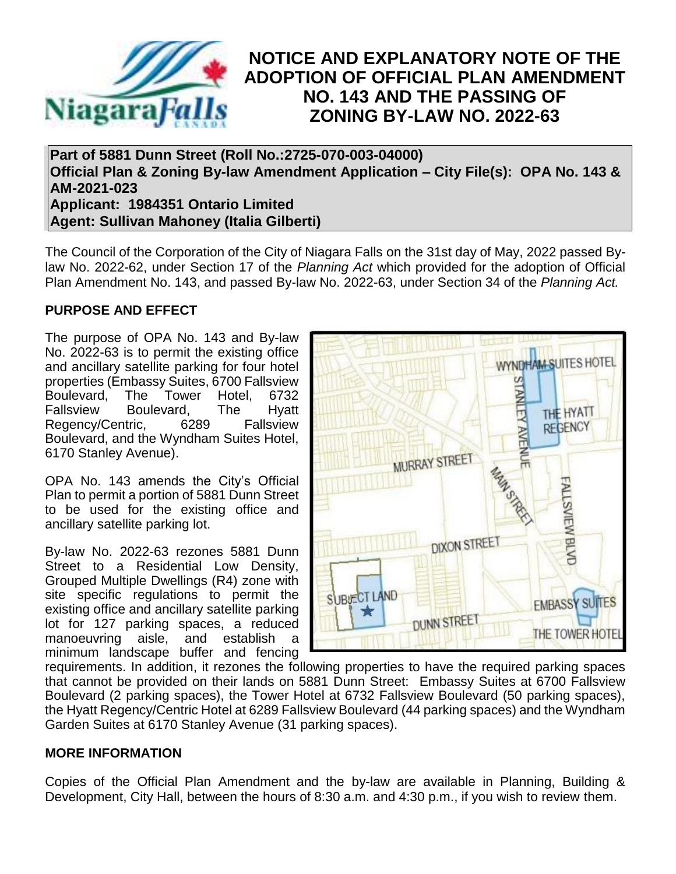

## **NOTICE AND EXPLANATORY NOTE OF THE ADOPTION OF OFFICIAL PLAN AMENDMENT NO. 143 AND THE PASSING OF ZONING BY-LAW NO. 2022-63**

**Part of 5881 Dunn Street (Roll No.:2725-070-003-04000) Official Plan & Zoning By-law Amendment Application – City File(s): OPA No. 143 & AM-2021-023 Applicant: 1984351 Ontario Limited Agent: Sullivan Mahoney (Italia Gilberti)**

The Council of the Corporation of the City of Niagara Falls on the 31st day of May, 2022 passed Bylaw No. 2022-62, under Section 17 of the *Planning Act* which provided for the adoption of Official Plan Amendment No. 143, and passed By-law No. 2022-63, under Section 34 of the *Planning Act.*

## **PURPOSE AND EFFECT**

The purpose of OPA No. 143 and By-law No. 2022-63 is to permit the existing office and ancillary satellite parking for four hotel properties (Embassy Suites, 6700 Fallsview Boulevard, The Tower Hotel, 6732 Fallsview Boulevard, The Hyatt Regency/Centric, 6289 Fallsview Boulevard, and the Wyndham Suites Hotel, 6170 Stanley Avenue).

OPA No. 143 amends the City's Official Plan to permit a portion of 5881 Dunn Street to be used for the existing office and ancillary satellite parking lot.

By-law No. 2022-63 rezones 5881 Dunn Street to a Residential Low Density, Grouped Multiple Dwellings (R4) zone with site specific regulations to permit the existing office and ancillary satellite parking lot for 127 parking spaces, a reduced manoeuvring aisle, and establish a minimum landscape buffer and fencing



requirements. In addition, it rezones the following properties to have the required parking spaces that cannot be provided on their lands on 5881 Dunn Street: Embassy Suites at 6700 Fallsview Boulevard (2 parking spaces), the Tower Hotel at 6732 Fallsview Boulevard (50 parking spaces), the Hyatt Regency/Centric Hotel at 6289 Fallsview Boulevard (44 parking spaces) and the Wyndham Garden Suites at 6170 Stanley Avenue (31 parking spaces).

## **MORE INFORMATION**

Copies of the Official Plan Amendment and the by-law are available in Planning, Building & Development, City Hall, between the hours of 8:30 a.m. and 4:30 p.m., if you wish to review them.